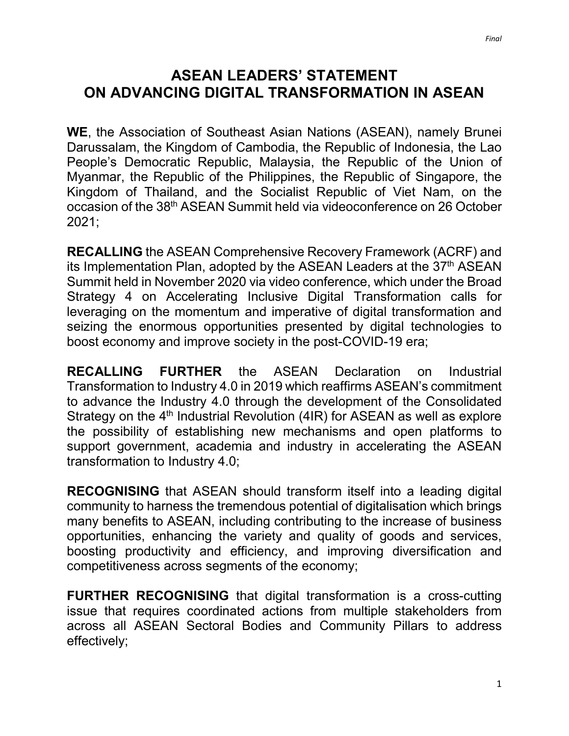## **ASEAN LEADERS' STATEMENT ON ADVANCING DIGITAL TRANSFORMATION IN ASEAN**

**WE**, the Association of Southeast Asian Nations (ASEAN), namely Brunei Darussalam, the Kingdom of Cambodia, the Republic of Indonesia, the Lao People's Democratic Republic, Malaysia, the Republic of the Union of Myanmar, the Republic of the Philippines, the Republic of Singapore, the Kingdom of Thailand, and the Socialist Republic of Viet Nam, on the occasion of the 38th ASEAN Summit held via videoconference on 26 October 2021;

**RECALLING** the ASEAN Comprehensive Recovery Framework (ACRF) and its Implementation Plan, adopted by the ASEAN Leaders at the 37<sup>th</sup> ASEAN Summit held in November 2020 via video conference, which under the Broad Strategy 4 on Accelerating Inclusive Digital Transformation calls for leveraging on the momentum and imperative of digital transformation and seizing the enormous opportunities presented by digital technologies to boost economy and improve society in the post-COVID-19 era;

**RECALLING FURTHER** the ASEAN Declaration on Industrial Transformation to Industry 4.0 in 2019 which reaffirms ASEAN's commitment to advance the Industry 4.0 through the development of the Consolidated Strategy on the  $4<sup>th</sup>$  Industrial Revolution (4IR) for ASEAN as well as explore the possibility of establishing new mechanisms and open platforms to support government, academia and industry in accelerating the ASEAN transformation to Industry 4.0;

**RECOGNISING** that ASEAN should transform itself into a leading digital community to harness the tremendous potential of digitalisation which brings many benefits to ASEAN, including contributing to the increase of business opportunities, enhancing the variety and quality of goods and services, boosting productivity and efficiency, and improving diversification and competitiveness across segments of the economy;

**FURTHER RECOGNISING** that digital transformation is a cross-cutting issue that requires coordinated actions from multiple stakeholders from across all ASEAN Sectoral Bodies and Community Pillars to address effectively;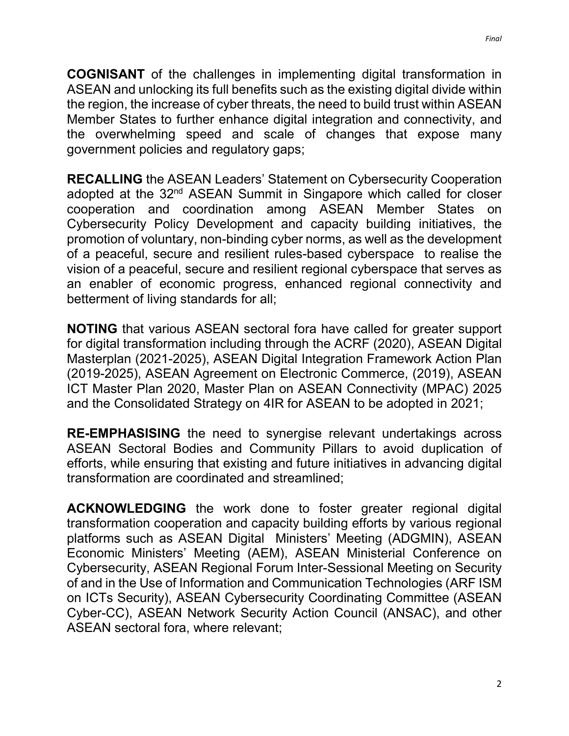**COGNISANT** of the challenges in implementing digital transformation in ASEAN and unlocking its full benefits such as the existing digital divide within the region, the increase of cyber threats, the need to build trust within ASEAN Member States to further enhance digital integration and connectivity, and the overwhelming speed and scale of changes that expose many government policies and regulatory gaps;

**RECALLING** the ASEAN Leaders' Statement on Cybersecurity Cooperation adopted at the 32<sup>nd</sup> ASEAN Summit in Singapore which called for closer cooperation and coordination among ASEAN Member States on Cybersecurity Policy Development and capacity building initiatives, the promotion of voluntary, non-binding cyber norms, as well as the development of a peaceful, secure and resilient rules-based cyberspace to realise the vision of a peaceful, secure and resilient regional cyberspace that serves as an enabler of economic progress, enhanced regional connectivity and betterment of living standards for all;

**NOTING** that various ASEAN sectoral fora have called for greater support for digital transformation including through the ACRF (2020), ASEAN Digital Masterplan (2021-2025), ASEAN Digital Integration Framework Action Plan (2019-2025), ASEAN Agreement on Electronic Commerce, (2019), ASEAN ICT Master Plan 2020, Master Plan on ASEAN Connectivity (MPAC) 2025 and the Consolidated Strategy on 4IR for ASEAN to be adopted in 2021;

**RE-EMPHASISING** the need to synergise relevant undertakings across ASEAN Sectoral Bodies and Community Pillars to avoid duplication of efforts, while ensuring that existing and future initiatives in advancing digital transformation are coordinated and streamlined;

**ACKNOWLEDGING** the work done to foster greater regional digital transformation cooperation and capacity building efforts by various regional platforms such as ASEAN Digital Ministers' Meeting (ADGMIN), ASEAN Economic Ministers' Meeting (AEM), ASEAN Ministerial Conference on Cybersecurity, ASEAN Regional Forum Inter-Sessional Meeting on Security of and in the Use of Information and Communication Technologies (ARF ISM on ICTs Security), ASEAN Cybersecurity Coordinating Committee (ASEAN Cyber-CC), ASEAN Network Security Action Council (ANSAC), and other ASEAN sectoral fora, where relevant;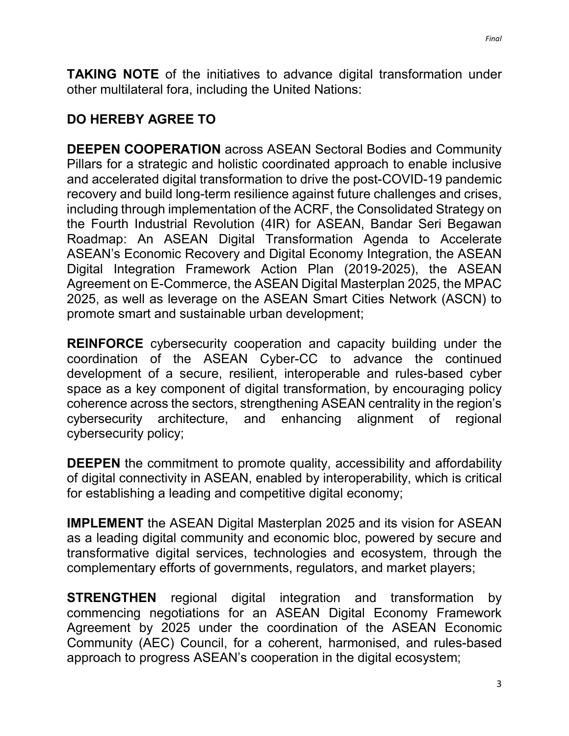**TAKING NOTE** of the initiatives to advance digital transformation under other multilateral fora, including the United Nations:

## **DO HEREBY AGREE TO**

**DEEPEN COOPERATION** across ASEAN Sectoral Bodies and Community Pillars for a strategic and holistic coordinated approach to enable inclusive and accelerated digital transformation to drive the post-COVID-19 pandemic recovery and build long-term resilience against future challenges and crises, including through implementation of the ACRF, the Consolidated Strategy on the Fourth Industrial Revolution (4IR) for ASEAN, Bandar Seri Begawan Roadmap: An ASEAN Digital Transformation Agenda to Accelerate ASEAN's Economic Recovery and Digital Economy Integration, the ASEAN Digital Integration Framework Action Plan (2019-2025), the ASEAN Agreement on E-Commerce, the ASEAN Digital Masterplan 2025, the MPAC 2025, as well as leverage on the ASEAN Smart Cities Network (ASCN) to promote smart and sustainable urban development;

**REINFORCE** cybersecurity cooperation and capacity building under the coordination of the ASEAN Cyber-CC to advance the continued development of a secure, resilient, interoperable and rules-based cyber space as a key component of digital transformation, by encouraging policy coherence across the sectors, strengthening ASEAN centrality in the region's cybersecurity architecture, and enhancing alignment of regional cybersecurity policy;

**DEEPEN** the commitment to promote quality, accessibility and affordability of digital connectivity in ASEAN, enabled by interoperability, which is critical for establishing a leading and competitive digital economy;

**IMPLEMENT** the ASEAN Digital Masterplan 2025 and its vision for ASEAN as a leading digital community and economic bloc, powered by secure and transformative digital services, technologies and ecosystem, through the complementary efforts of governments, regulators, and market players;

**STRENGTHEN** regional digital integration and transformation by commencing negotiations for an ASEAN Digital Economy Framework Agreement by 2025 under the coordination of the ASEAN Economic Community (AEC) Council, for a coherent, harmonised, and rules-based approach to progress ASEAN's cooperation in the digital ecosystem;